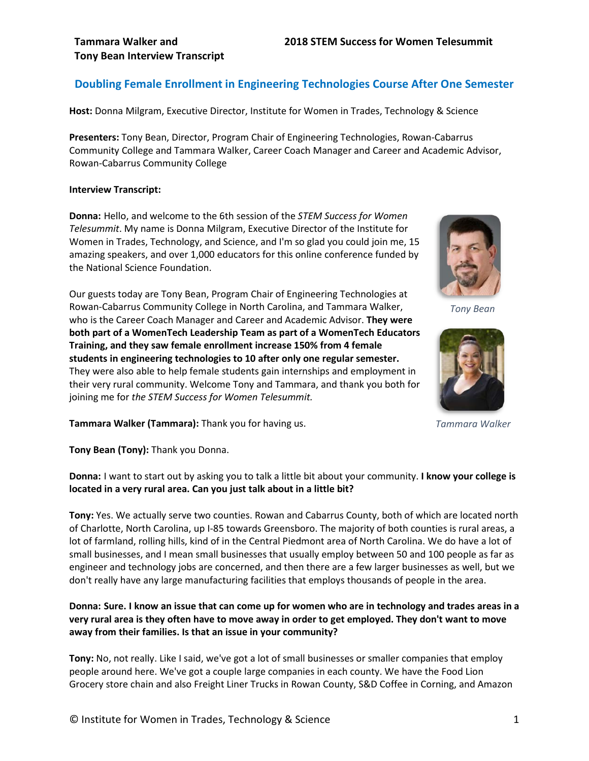## **Doubling Female Enrollment in Engineering Technologies Course After One Semester**

**Host:** Donna Milgram, Executive Director, Institute for Women in Trades, Technology & Science

**Presenters:** Tony Bean, Director, Program Chair of Engineering Technologies, Rowan-Cabarrus Community College and Tammara Walker, Career Coach Manager and Career and Academic Advisor, Rowan-Cabarrus Community College

#### **Interview Transcript:**

**Donna:** Hello, and welcome to the 6th session of the *STEM Success for Women Telesummit*. My name is Donna Milgram, Executive Director of the Institute for Women in Trades, Technology, and Science, and I'm so glad you could join me, 15 amazing speakers, and over 1,000 educators for this online conference funded by the National Science Foundation.

Our guests today are Tony Bean, Program Chair of Engineering Technologies at Rowan-Cabarrus Community College in North Carolina, and Tammara Walker, who is the Career Coach Manager and Career and Academic Advisor. **They were both part of a WomenTech Leadership Team as part of a WomenTech Educators Training, and they saw female enrollment increase 150% from 4 female students in engineering technologies to 10 after only one regular semester.** They were also able to help female students gain internships and employment in their very rural community. Welcome Tony and Tammara, and thank you both for joining me for *the STEM Success for Women Telesummit.*



*Tony Bean*



*Tammara Walker*

**Tammara Walker (Tammara):** Thank you for having us.

**Tony Bean (Tony):** Thank you Donna.

**Donna:** I want to start out by asking you to talk a little bit about your community. **I know your college is located in a very rural area. Can you just talk about in a little bit?**

**Tony:** Yes. We actually serve two counties. Rowan and Cabarrus County, both of which are located north of Charlotte, North Carolina, up I-85 towards Greensboro. The majority of both counties is rural areas, a lot of farmland, rolling hills, kind of in the Central Piedmont area of North Carolina. We do have a lot of small businesses, and I mean small businesses that usually employ between 50 and 100 people as far as engineer and technology jobs are concerned, and then there are a few larger businesses as well, but we don't really have any large manufacturing facilities that employs thousands of people in the area.

## **Donna: Sure. I know an issue that can come up for women who are in technology and trades areas in a very rural area is they often have to move away in order to get employed. They don't want to move away from their families. Is that an issue in your community?**

**Tony:** No, not really. Like I said, we've got a lot of small businesses or smaller companies that employ people around here. We've got a couple large companies in each county. We have the Food Lion Grocery store chain and also Freight Liner Trucks in Rowan County, S&D Coffee in Corning, and Amazon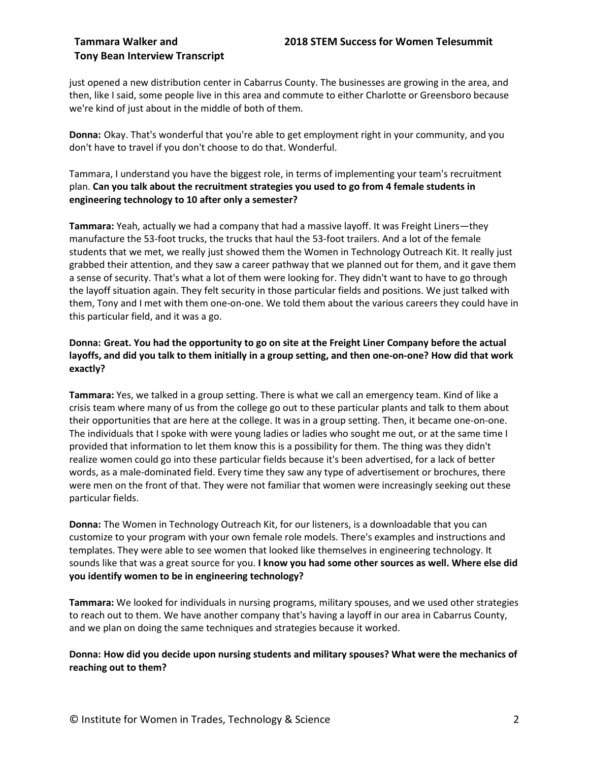just opened a new distribution center in Cabarrus County. The businesses are growing in the area, and then, like I said, some people live in this area and commute to either Charlotte or Greensboro because we're kind of just about in the middle of both of them.

**Donna:** Okay. That's wonderful that you're able to get employment right in your community, and you don't have to travel if you don't choose to do that. Wonderful.

Tammara, I understand you have the biggest role, in terms of implementing your team's recruitment plan. **Can you talk about the recruitment strategies you used to go from 4 female students in engineering technology to 10 after only a semester?**

**Tammara:** Yeah, actually we had a company that had a massive layoff. It was Freight Liners—they manufacture the 53-foot trucks, the trucks that haul the 53-foot trailers. And a lot of the female students that we met, we really just showed them the Women in Technology Outreach Kit. It really just grabbed their attention, and they saw a career pathway that we planned out for them, and it gave them a sense of security. That's what a lot of them were looking for. They didn't want to have to go through the layoff situation again. They felt security in those particular fields and positions. We just talked with them, Tony and I met with them one-on-one. We told them about the various careers they could have in this particular field, and it was a go.

## **Donna: Great. You had the opportunity to go on site at the Freight Liner Company before the actual layoffs, and did you talk to them initially in a group setting, and then one-on-one? How did that work exactly?**

**Tammara:** Yes, we talked in a group setting. There is what we call an emergency team. Kind of like a crisis team where many of us from the college go out to these particular plants and talk to them about their opportunities that are here at the college. It was in a group setting. Then, it became one-on-one. The individuals that I spoke with were young ladies or ladies who sought me out, or at the same time I provided that information to let them know this is a possibility for them. The thing was they didn't realize women could go into these particular fields because it's been advertised, for a lack of better words, as a male-dominated field. Every time they saw any type of advertisement or brochures, there were men on the front of that. They were not familiar that women were increasingly seeking out these particular fields.

**Donna:** The Women in Technology Outreach Kit, for our listeners, is a downloadable that you can customize to your program with your own female role models. There's examples and instructions and templates. They were able to see women that looked like themselves in engineering technology. It sounds like that was a great source for you. **I know you had some other sources as well. Where else did you identify women to be in engineering technology?**

**Tammara:** We looked for individuals in nursing programs, military spouses, and we used other strategies to reach out to them. We have another company that's having a layoff in our area in Cabarrus County, and we plan on doing the same techniques and strategies because it worked.

## **Donna: How did you decide upon nursing students and military spouses? What were the mechanics of reaching out to them?**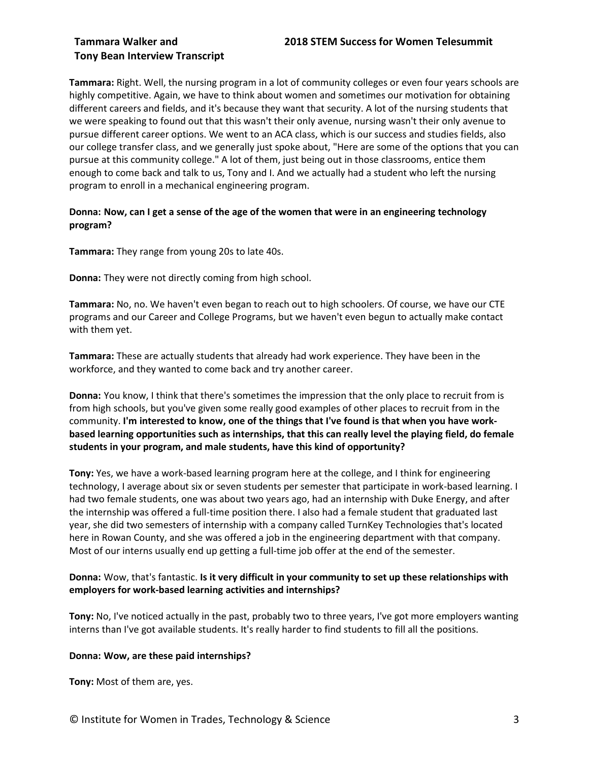## **Tammara Walker and 2018 STEM Success for Women Telesummit**

## **Tony Bean Interview Transcript**

**Tammara:** Right. Well, the nursing program in a lot of community colleges or even four years schools are highly competitive. Again, we have to think about women and sometimes our motivation for obtaining different careers and fields, and it's because they want that security. A lot of the nursing students that we were speaking to found out that this wasn't their only avenue, nursing wasn't their only avenue to pursue different career options. We went to an ACA class, which is our success and studies fields, also our college transfer class, and we generally just spoke about, "Here are some of the options that you can pursue at this community college." A lot of them, just being out in those classrooms, entice them enough to come back and talk to us, Tony and I. And we actually had a student who left the nursing program to enroll in a mechanical engineering program.

## **Donna: Now, can I get a sense of the age of the women that were in an engineering technology program?**

**Tammara:** They range from young 20s to late 40s.

**Donna:** They were not directly coming from high school.

**Tammara:** No, no. We haven't even began to reach out to high schoolers. Of course, we have our CTE programs and our Career and College Programs, but we haven't even begun to actually make contact with them yet.

**Tammara:** These are actually students that already had work experience. They have been in the workforce, and they wanted to come back and try another career.

**Donna:** You know, I think that there's sometimes the impression that the only place to recruit from is from high schools, but you've given some really good examples of other places to recruit from in the community. **I'm interested to know, one of the things that I've found is that when you have workbased learning opportunities such as internships, that this can really level the playing field, do female students in your program, and male students, have this kind of opportunity?**

**Tony:** Yes, we have a work-based learning program here at the college, and I think for engineering technology, I average about six or seven students per semester that participate in work-based learning. I had two female students, one was about two years ago, had an internship with Duke Energy, and after the internship was offered a full-time position there. I also had a female student that graduated last year, she did two semesters of internship with a company called TurnKey Technologies that's located here in Rowan County, and she was offered a job in the engineering department with that company. Most of our interns usually end up getting a full-time job offer at the end of the semester.

## **Donna:** Wow, that's fantastic. **Is it very difficult in your community to set up these relationships with employers for work-based learning activities and internships?**

**Tony:** No, I've noticed actually in the past, probably two to three years, I've got more employers wanting interns than I've got available students. It's really harder to find students to fill all the positions.

## **Donna: Wow, are these paid internships?**

**Tony:** Most of them are, yes.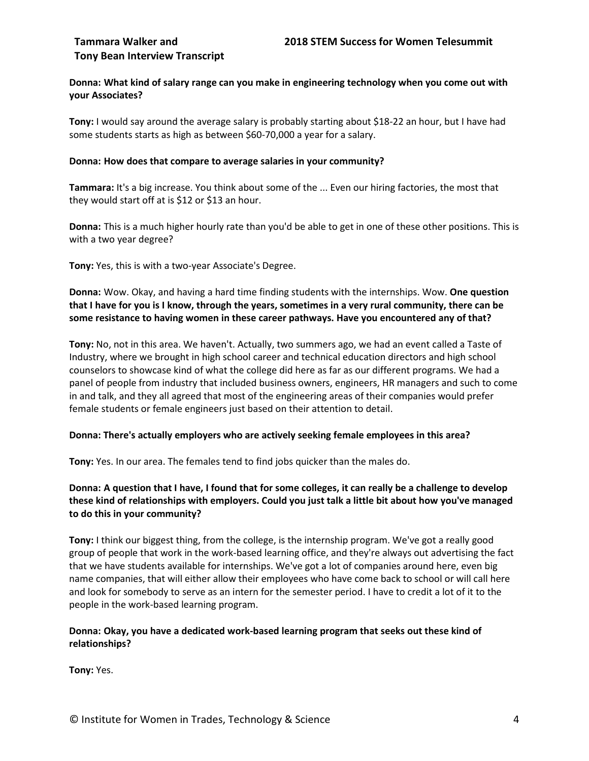### **Donna: What kind of salary range can you make in engineering technology when you come out with your Associates?**

**Tony:** I would say around the average salary is probably starting about \$18-22 an hour, but I have had some students starts as high as between \$60-70,000 a year for a salary.

#### **Donna: How does that compare to average salaries in your community?**

**Tammara:** It's a big increase. You think about some of the ... Even our hiring factories, the most that they would start off at is \$12 or \$13 an hour.

**Donna:** This is a much higher hourly rate than you'd be able to get in one of these other positions. This is with a two year degree?

**Tony:** Yes, this is with a two-year Associate's Degree.

**Donna:** Wow. Okay, and having a hard time finding students with the internships. Wow. **One question that I have for you is I know, through the years, sometimes in a very rural community, there can be some resistance to having women in these career pathways. Have you encountered any of that?**

**Tony:** No, not in this area. We haven't. Actually, two summers ago, we had an event called a Taste of Industry, where we brought in high school career and technical education directors and high school counselors to showcase kind of what the college did here as far as our different programs. We had a panel of people from industry that included business owners, engineers, HR managers and such to come in and talk, and they all agreed that most of the engineering areas of their companies would prefer female students or female engineers just based on their attention to detail.

#### **Donna: There's actually employers who are actively seeking female employees in this area?**

**Tony:** Yes. In our area. The females tend to find jobs quicker than the males do.

## **Donna: A question that I have, I found that for some colleges, it can really be a challenge to develop these kind of relationships with employers. Could you just talk a little bit about how you've managed to do this in your community?**

**Tony:** I think our biggest thing, from the college, is the internship program. We've got a really good group of people that work in the work-based learning office, and they're always out advertising the fact that we have students available for internships. We've got a lot of companies around here, even big name companies, that will either allow their employees who have come back to school or will call here and look for somebody to serve as an intern for the semester period. I have to credit a lot of it to the people in the work-based learning program.

## **Donna: Okay, you have a dedicated work-based learning program that seeks out these kind of relationships?**

**Tony:** Yes.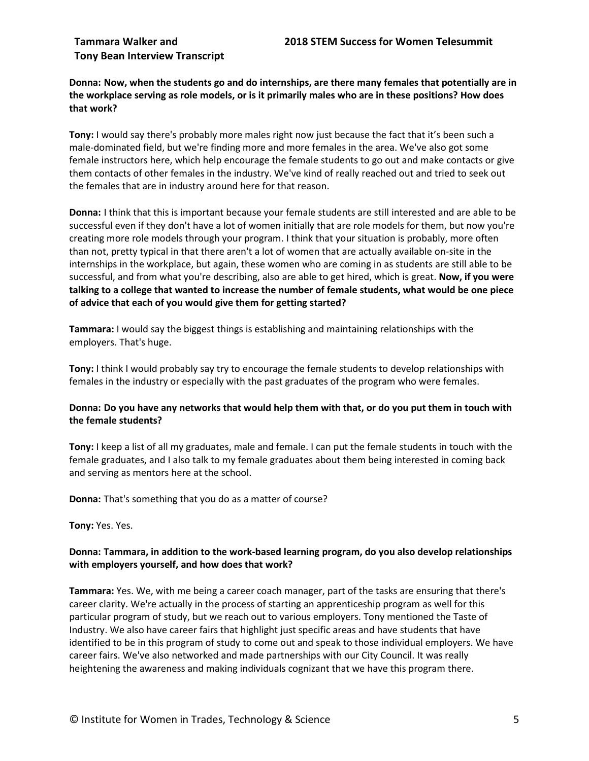**Donna: Now, when the students go and do internships, are there many females that potentially are in the workplace serving as role models, or is it primarily males who are in these positions? How does that work?**

**Tony:** I would say there's probably more males right now just because the fact that it's been such a male-dominated field, but we're finding more and more females in the area. We've also got some female instructors here, which help encourage the female students to go out and make contacts or give them contacts of other females in the industry. We've kind of really reached out and tried to seek out the females that are in industry around here for that reason.

**Donna:** I think that this is important because your female students are still interested and are able to be successful even if they don't have a lot of women initially that are role models for them, but now you're creating more role models through your program. I think that your situation is probably, more often than not, pretty typical in that there aren't a lot of women that are actually available on-site in the internships in the workplace, but again, these women who are coming in as students are still able to be successful, and from what you're describing, also are able to get hired, which is great. **Now, if you were talking to a college that wanted to increase the number of female students, what would be one piece of advice that each of you would give them for getting started?**

**Tammara:** I would say the biggest things is establishing and maintaining relationships with the employers. That's huge.

**Tony:** I think I would probably say try to encourage the female students to develop relationships with females in the industry or especially with the past graduates of the program who were females.

## **Donna: Do you have any networks that would help them with that, or do you put them in touch with the female students?**

**Tony:** I keep a list of all my graduates, male and female. I can put the female students in touch with the female graduates, and I also talk to my female graduates about them being interested in coming back and serving as mentors here at the school.

**Donna:** That's something that you do as a matter of course?

**Tony:** Yes. Yes.

## **Donna: Tammara, in addition to the work-based learning program, do you also develop relationships with employers yourself, and how does that work?**

**Tammara:** Yes. We, with me being a career coach manager, part of the tasks are ensuring that there's career clarity. We're actually in the process of starting an apprenticeship program as well for this particular program of study, but we reach out to various employers. Tony mentioned the Taste of Industry. We also have career fairs that highlight just specific areas and have students that have identified to be in this program of study to come out and speak to those individual employers. We have career fairs. We've also networked and made partnerships with our City Council. It was really heightening the awareness and making individuals cognizant that we have this program there.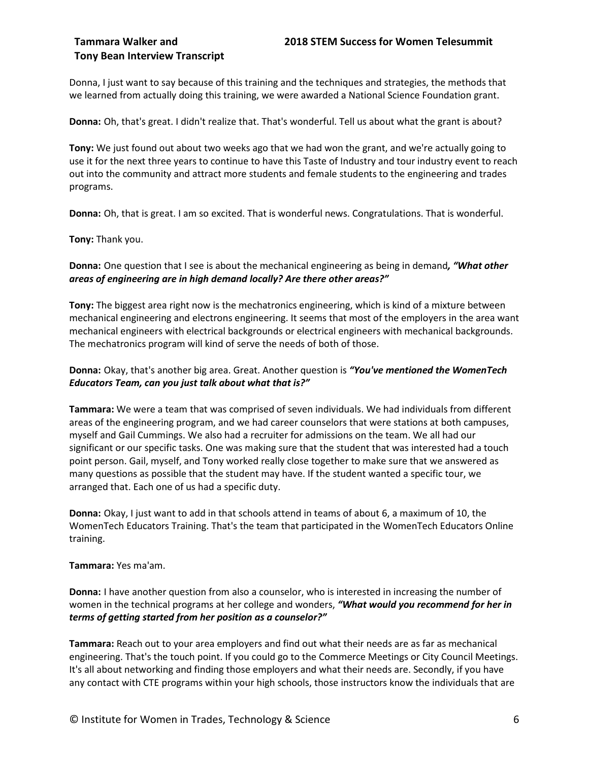Donna, I just want to say because of this training and the techniques and strategies, the methods that we learned from actually doing this training, we were awarded a National Science Foundation grant.

**Donna:** Oh, that's great. I didn't realize that. That's wonderful. Tell us about what the grant is about?

**Tony:** We just found out about two weeks ago that we had won the grant, and we're actually going to use it for the next three years to continue to have this Taste of Industry and tour industry event to reach out into the community and attract more students and female students to the engineering and trades programs.

**Donna:** Oh, that is great. I am so excited. That is wonderful news. Congratulations. That is wonderful.

**Tony:** Thank you.

## **Donna:** One question that I see is about the mechanical engineering as being in demand*, "What other areas of engineering are in high demand locally? Are there other areas?"*

**Tony:** The biggest area right now is the mechatronics engineering, which is kind of a mixture between mechanical engineering and electrons engineering. It seems that most of the employers in the area want mechanical engineers with electrical backgrounds or electrical engineers with mechanical backgrounds. The mechatronics program will kind of serve the needs of both of those.

## **Donna:** Okay, that's another big area. Great. Another question is *"You've mentioned the WomenTech Educators Team, can you just talk about what that is?"*

**Tammara:** We were a team that was comprised of seven individuals. We had individuals from different areas of the engineering program, and we had career counselors that were stations at both campuses, myself and Gail Cummings. We also had a recruiter for admissions on the team. We all had our significant or our specific tasks. One was making sure that the student that was interested had a touch point person. Gail, myself, and Tony worked really close together to make sure that we answered as many questions as possible that the student may have. If the student wanted a specific tour, we arranged that. Each one of us had a specific duty.

**Donna:** Okay, I just want to add in that schools attend in teams of about 6, a maximum of 10, the WomenTech Educators Training. That's the team that participated in the WomenTech Educators Online training.

## **Tammara:** Yes ma'am.

**Donna:** I have another question from also a counselor, who is interested in increasing the number of women in the technical programs at her college and wonders, *"What would you recommend for her in terms of getting started from her position as a counselor?"*

**Tammara:** Reach out to your area employers and find out what their needs are as far as mechanical engineering. That's the touch point. If you could go to the Commerce Meetings or City Council Meetings. It's all about networking and finding those employers and what their needs are. Secondly, if you have any contact with CTE programs within your high schools, those instructors know the individuals that are